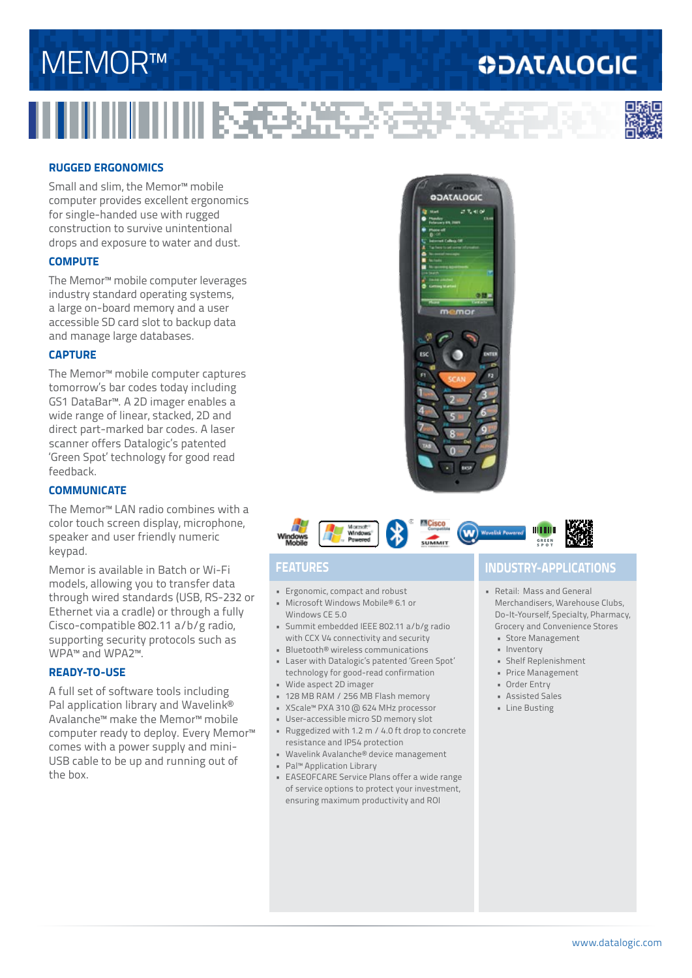# MEMOR™

### **ODATALOGIC**

收起来



#### **RUGGED ERGONOMICS**

Small and slim, the Memor™ mobile computer provides excellent ergonomics for single-handed use with rugged construction to survive unintentional drops and exposure to water and dust.

#### **COMPUTE**

The Memor™ mobile computer leverages industry standard operating systems, a large on-board memory and a user accessible SD card slot to backup data and manage large databases.

#### **CAPTURE**

The Memor™ mobile computer captures tomorrow's bar codes today including GS1 DataBar™. A 2D imager enables a wide range of linear, stacked, 2D and direct part-marked bar codes. A laser scanner offers Datalogic's patented 'Green Spot' technology for good read feedback.

#### **COMMUNICATE**

The Memor™ LAN radio combines with a color touch screen display, microphone, speaker and user friendly numeric keypad.

Memor is available in Batch or Wi-Fi models, allowing you to transfer data through wired standards (USB, RS-232 or Ethernet via a cradle) or through a fully Cisco-compatible 802.11 a/b/g radio, supporting security protocols such as WPA™ and WPA2™.

#### **READY-TO-USE**

A full set of software tools including Pal application library and Wavelink® Avalanche™ make the Memor™ mobile computer ready to deploy. Every Memor™ comes with a power supply and mini-USB cable to be up and running out of the box.





- Ergonomic, compact and robust • Microsoft Windows Mobile® 6.1 or
- Windows CE 5.0
- Summit embedded IEEE 802.11 a/b/g radio with CCX V4 connectivity and security
- Bluetooth® wireless communications
- Laser with Datalogic's patented 'Green Spot' technology for good-read confirmation
- Wide aspect 2D imager
- 128 MB RAM / 256 MB Flash memory • XScale™ PXA 310 @ 624 MHz processor
- User-accessible micro SD memory slot
- Ruggedized with 1.2 m / 4.0 ft drop to concrete
- resistance and IP54 protection
- Wavelink Avalanche® device management
- Pal™ Application Library
- EASEOFCARE Service Plans offer a wide range of service options to protect your investment, ensuring maximum productivity and ROI

### **FEATURES INDUSTRY-APPLICATIONS**

- Retail: Mass and General Merchandisers, Warehouse Clubs, Do-It-Yourself, Specialty, Pharmacy, Grocery and Convenience Stores
	- Store Management
	- Inventory
	- Shelf Replenishment
	- Price Management
	- Order Entry
	- Assisted Sales
	- Line Busting